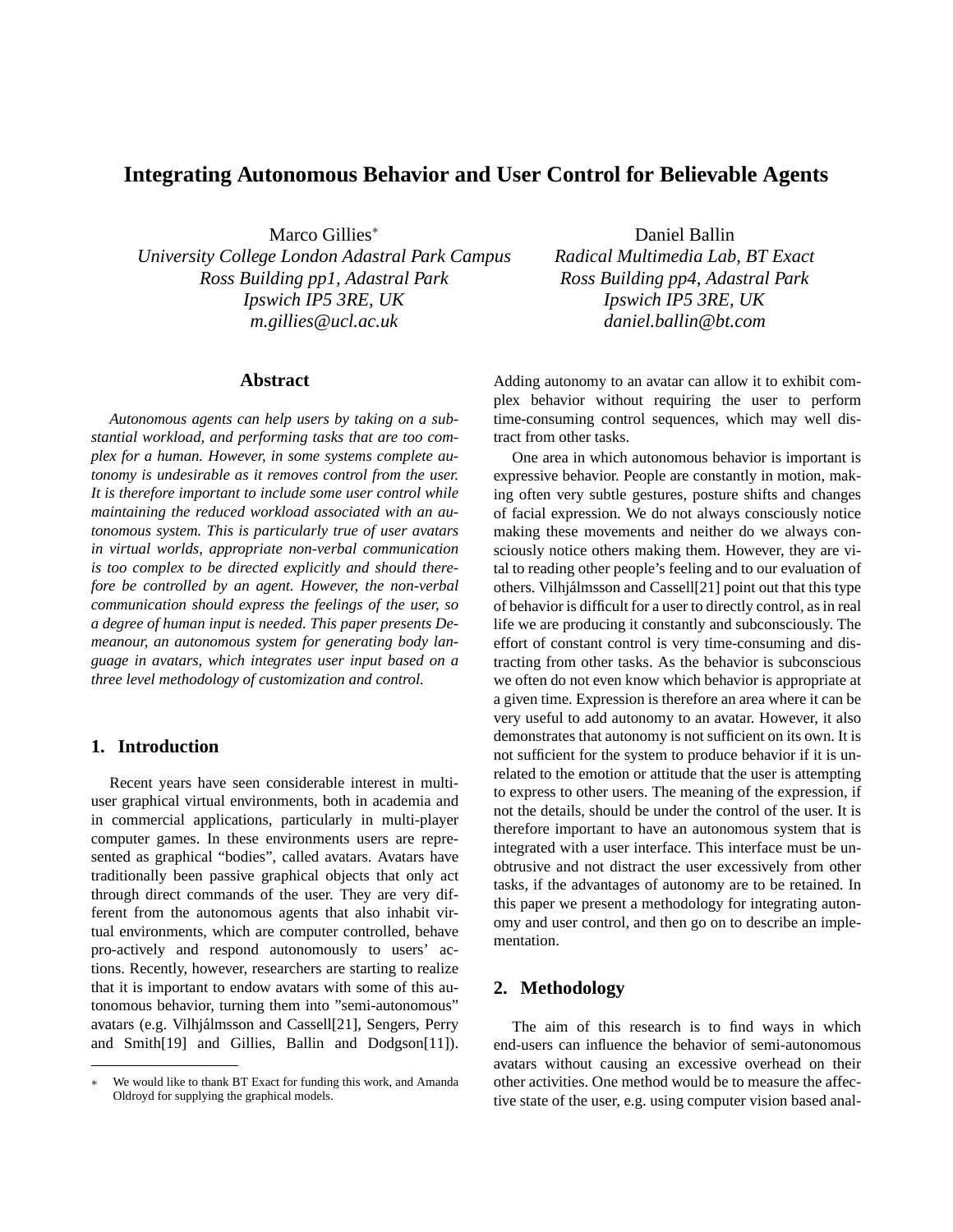# **Integrating Autonomous Behavior and User Control for Believable Agents**

Marco Gillies<sup>∗</sup>

*University College London Adastral Park Campus Ross Building pp1, Adastral Park Ipswich IP5 3RE, UK m.gillies@ucl.ac.uk*

### **Abstract**

*Autonomous agents can help users by taking on a substantial workload, and performing tasks that are too complex for a human. However, in some systems complete autonomy is undesirable as it removes control from the user. It is therefore important to include some user control while maintaining the reduced workload associated with an autonomous system. This is particularly true of user avatars in virtual worlds, appropriate non-verbal communication is too complex to be directed explicitly and should therefore be controlled by an agent. However, the non-verbal communication should express the feelings of the user, so a degree of human input is needed. This paper presents Demeanour, an autonomous system for generating body language in avatars, which integrates user input based on a three level methodology of customization and control.*

# **1. Introduction**

Recent years have seen considerable interest in multiuser graphical virtual environments, both in academia and in commercial applications, particularly in multi-player computer games. In these environments users are represented as graphical "bodies", called avatars. Avatars have traditionally been passive graphical objects that only act through direct commands of the user. They are very different from the autonomous agents that also inhabit virtual environments, which are computer controlled, behave pro-actively and respond autonomously to users' actions. Recently, however, researchers are starting to realize that it is important to endow avatars with some of this autonomous behavior, turning them into "semi-autonomous" avatars (e.g. Vilhjálmsson and Cassell[21], Sengers, Perry and Smith[19] and Gillies, Ballin and Dodgson[11]).

Daniel Ballin *Radical Multimedia Lab, BT Exact Ross Building pp4, Adastral Park Ipswich IP5 3RE, UK daniel.ballin@bt.com*

Adding autonomy to an avatar can allow it to exhibit complex behavior without requiring the user to perform time-consuming control sequences, which may well distract from other tasks.

One area in which autonomous behavior is important is expressive behavior. People are constantly in motion, making often very subtle gestures, posture shifts and changes of facial expression. We do not always consciously notice making these movements and neither do we always consciously notice others making them. However, they are vital to reading other people's feeling and to our evaluation of others. Vilhjálmsson and Cassell[21] point out that this type of behavior is difficult for a user to directly control, as in real life we are producing it constantly and subconsciously. The effort of constant control is very time-consuming and distracting from other tasks. As the behavior is subconscious we often do not even know which behavior is appropriate at a given time. Expression is therefore an area where it can be very useful to add autonomy to an avatar. However, it also demonstrates that autonomy is not sufficient on its own. It is not sufficient for the system to produce behavior if it is unrelated to the emotion or attitude that the user is attempting to express to other users. The meaning of the expression, if not the details, should be under the control of the user. It is therefore important to have an autonomous system that is integrated with a user interface. This interface must be unobtrusive and not distract the user excessively from other tasks, if the advantages of autonomy are to be retained. In this paper we present a methodology for integrating autonomy and user control, and then go on to describe an implementation.

# **2. Methodology**

The aim of this research is to find ways in which end-users can influence the behavior of semi-autonomous avatars without causing an excessive overhead on their other activities. One method would be to measure the affective state of the user, e.g. using computer vision based anal-

We would like to thank BT Exact for funding this work, and Amanda Oldroyd for supplying the graphical models.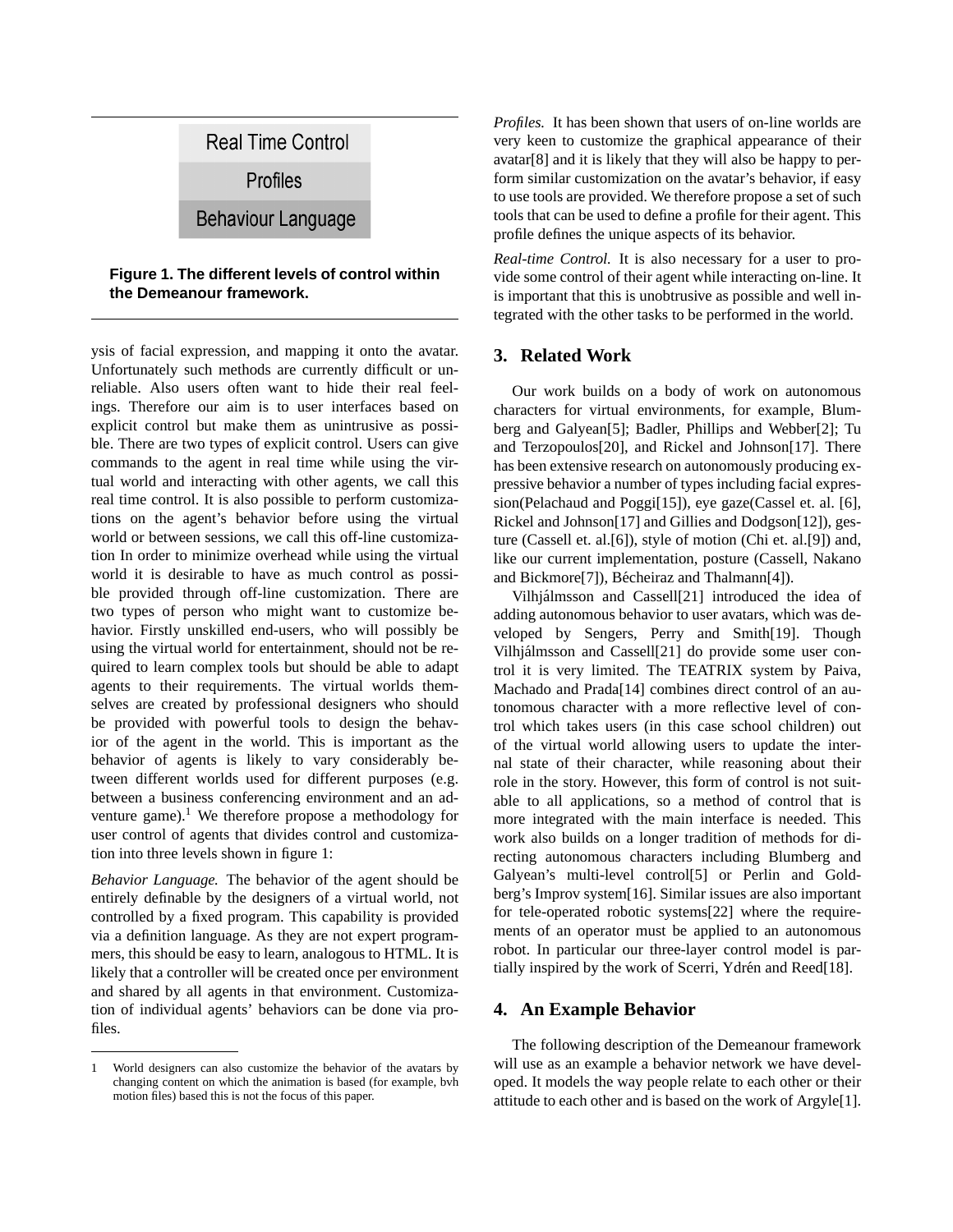

**Figure 1. The different levels of control within the Demeanour framework.**

ysis of facial expression, and mapping it onto the avatar. Unfortunately such methods are currently difficult or unreliable. Also users often want to hide their real feelings. Therefore our aim is to user interfaces based on explicit control but make them as unintrusive as possible. There are two types of explicit control. Users can give commands to the agent in real time while using the virtual world and interacting with other agents, we call this real time control. It is also possible to perform customizations on the agent's behavior before using the virtual world or between sessions, we call this off-line customization In order to minimize overhead while using the virtual world it is desirable to have as much control as possible provided through off-line customization. There are two types of person who might want to customize behavior. Firstly unskilled end-users, who will possibly be using the virtual world for entertainment, should not be required to learn complex tools but should be able to adapt agents to their requirements. The virtual worlds themselves are created by professional designers who should be provided with powerful tools to design the behavior of the agent in the world. This is important as the behavior of agents is likely to vary considerably between different worlds used for different purposes (e.g. between a business conferencing environment and an adventure game).<sup>1</sup> We therefore propose a methodology for user control of agents that divides control and customization into three levels shown in figure 1:

*Behavior Language.* The behavior of the agent should be entirely definable by the designers of a virtual world, not controlled by a fixed program. This capability is provided via a definition language. As they are not expert programmers, this should be easy to learn, analogous to HTML. It is likely that a controller will be created once per environment and shared by all agents in that environment. Customization of individual agents' behaviors can be done via profiles.

*Profiles.* It has been shown that users of on-line worlds are very keen to customize the graphical appearance of their avatar[8] and it is likely that they will also be happy to perform similar customization on the avatar's behavior, if easy to use tools are provided. We therefore propose a set of such tools that can be used to define a profile for their agent. This profile defines the unique aspects of its behavior.

*Real-time Control.* It is also necessary for a user to provide some control of their agent while interacting on-line. It is important that this is unobtrusive as possible and well integrated with the other tasks to be performed in the world.

# **3. Related Work**

Our work builds on a body of work on autonomous characters for virtual environments, for example, Blumberg and Galyean[5]; Badler, Phillips and Webber[2]; Tu and Terzopoulos[20], and Rickel and Johnson[17]. There has been extensive research on autonomously producing expressive behavior a number of types including facial expression(Pelachaud and Poggi[15]), eye gaze(Cassel et. al. [6], Rickel and Johnson[17] and Gillies and Dodgson[12]), gesture (Cassell et. al.[6]), style of motion (Chi et. al.[9]) and, like our current implementation, posture (Cassell, Nakano and Bickmore<sup>[7]</sup>), Bécheiraz and Thalmann<sup>[4]</sup>).

Vilhjalmsson and Cassell[21] introduced the idea of ´ adding autonomous behavior to user avatars, which was developed by Sengers, Perry and Smith[19]. Though Vilhjálmsson and Cassell[21] do provide some user control it is very limited. The TEATRIX system by Paiva, Machado and Prada[14] combines direct control of an autonomous character with a more reflective level of control which takes users (in this case school children) out of the virtual world allowing users to update the internal state of their character, while reasoning about their role in the story. However, this form of control is not suitable to all applications, so a method of control that is more integrated with the main interface is needed. This work also builds on a longer tradition of methods for directing autonomous characters including Blumberg and Galyean's multi-level control[5] or Perlin and Goldberg's Improv system[16]. Similar issues are also important for tele-operated robotic systems[22] where the requirements of an operator must be applied to an autonomous robot. In particular our three-layer control model is partially inspired by the work of Scerri, Ydrén and Reed[18].

# **4. An Example Behavior**

The following description of the Demeanour framework will use as an example a behavior network we have developed. It models the way people relate to each other or their attitude to each other and is based on the work of Argyle[1].

<sup>1</sup> World designers can also customize the behavior of the avatars by changing content on which the animation is based (for example, bvh motion files) based this is not the focus of this paper.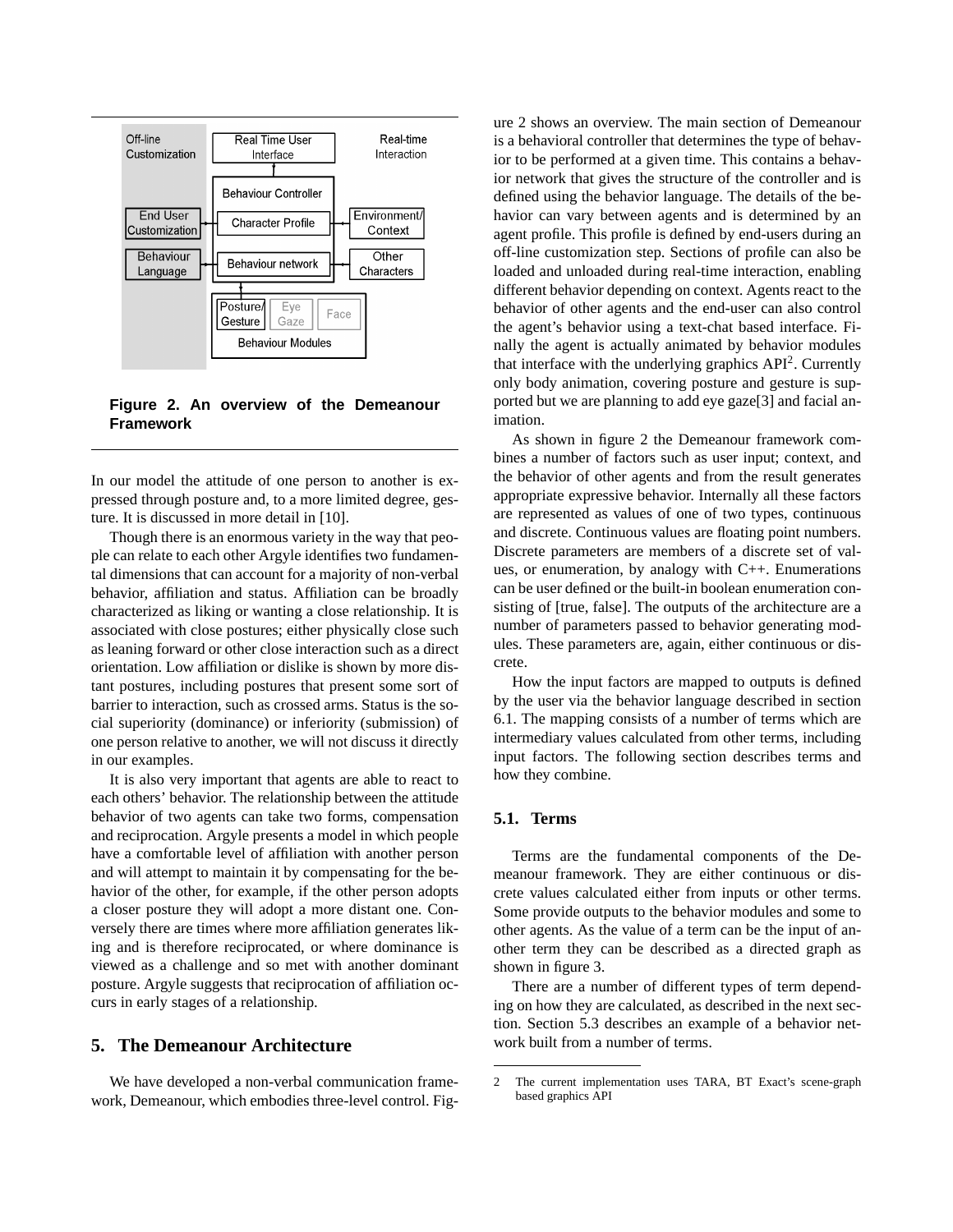

**Figure 2. An overview of the Demeanour Framework**

In our model the attitude of one person to another is expressed through posture and, to a more limited degree, gesture. It is discussed in more detail in [10].

Though there is an enormous variety in the way that people can relate to each other Argyle identifies two fundamental dimensions that can account for a majority of non-verbal behavior, affiliation and status. Affiliation can be broadly characterized as liking or wanting a close relationship. It is associated with close postures; either physically close such as leaning forward or other close interaction such as a direct orientation. Low affiliation or dislike is shown by more distant postures, including postures that present some sort of barrier to interaction, such as crossed arms. Status is the social superiority (dominance) or inferiority (submission) of one person relative to another, we will not discuss it directly in our examples.

It is also very important that agents are able to react to each others' behavior. The relationship between the attitude behavior of two agents can take two forms, compensation and reciprocation. Argyle presents a model in which people have a comfortable level of affiliation with another person and will attempt to maintain it by compensating for the behavior of the other, for example, if the other person adopts a closer posture they will adopt a more distant one. Conversely there are times where more affiliation generates liking and is therefore reciprocated, or where dominance is viewed as a challenge and so met with another dominant posture. Argyle suggests that reciprocation of affiliation occurs in early stages of a relationship.

# **5. The Demeanour Architecture**

We have developed a non-verbal communication framework, Demeanour, which embodies three-level control. Fig-

ure 2 shows an overview. The main section of Demeanour is a behavioral controller that determines the type of behavior to be performed at a given time. This contains a behavior network that gives the structure of the controller and is defined using the behavior language. The details of the behavior can vary between agents and is determined by an agent profile. This profile is defined by end-users during an off-line customization step. Sections of profile can also be loaded and unloaded during real-time interaction, enabling different behavior depending on context. Agents react to the behavior of other agents and the end-user can also control the agent's behavior using a text-chat based interface. Finally the agent is actually animated by behavior modules that interface with the underlying graphics API<sup>2</sup>. Currently only body animation, covering posture and gesture is supported but we are planning to add eye gaze[3] and facial animation.

As shown in figure 2 the Demeanour framework combines a number of factors such as user input; context, and the behavior of other agents and from the result generates appropriate expressive behavior. Internally all these factors are represented as values of one of two types, continuous and discrete. Continuous values are floating point numbers. Discrete parameters are members of a discrete set of values, or enumeration, by analogy with C++. Enumerations can be user defined or the built-in boolean enumeration consisting of [true, false]. The outputs of the architecture are a number of parameters passed to behavior generating modules. These parameters are, again, either continuous or discrete.

How the input factors are mapped to outputs is defined by the user via the behavior language described in section 6.1. The mapping consists of a number of terms which are intermediary values calculated from other terms, including input factors. The following section describes terms and how they combine.

# **5.1. Terms**

Terms are the fundamental components of the Demeanour framework. They are either continuous or discrete values calculated either from inputs or other terms. Some provide outputs to the behavior modules and some to other agents. As the value of a term can be the input of another term they can be described as a directed graph as shown in figure 3.

There are a number of different types of term depending on how they are calculated, as described in the next section. Section 5.3 describes an example of a behavior network built from a number of terms.

<sup>2</sup> The current implementation uses TARA, BT Exact's scene-graph based graphics API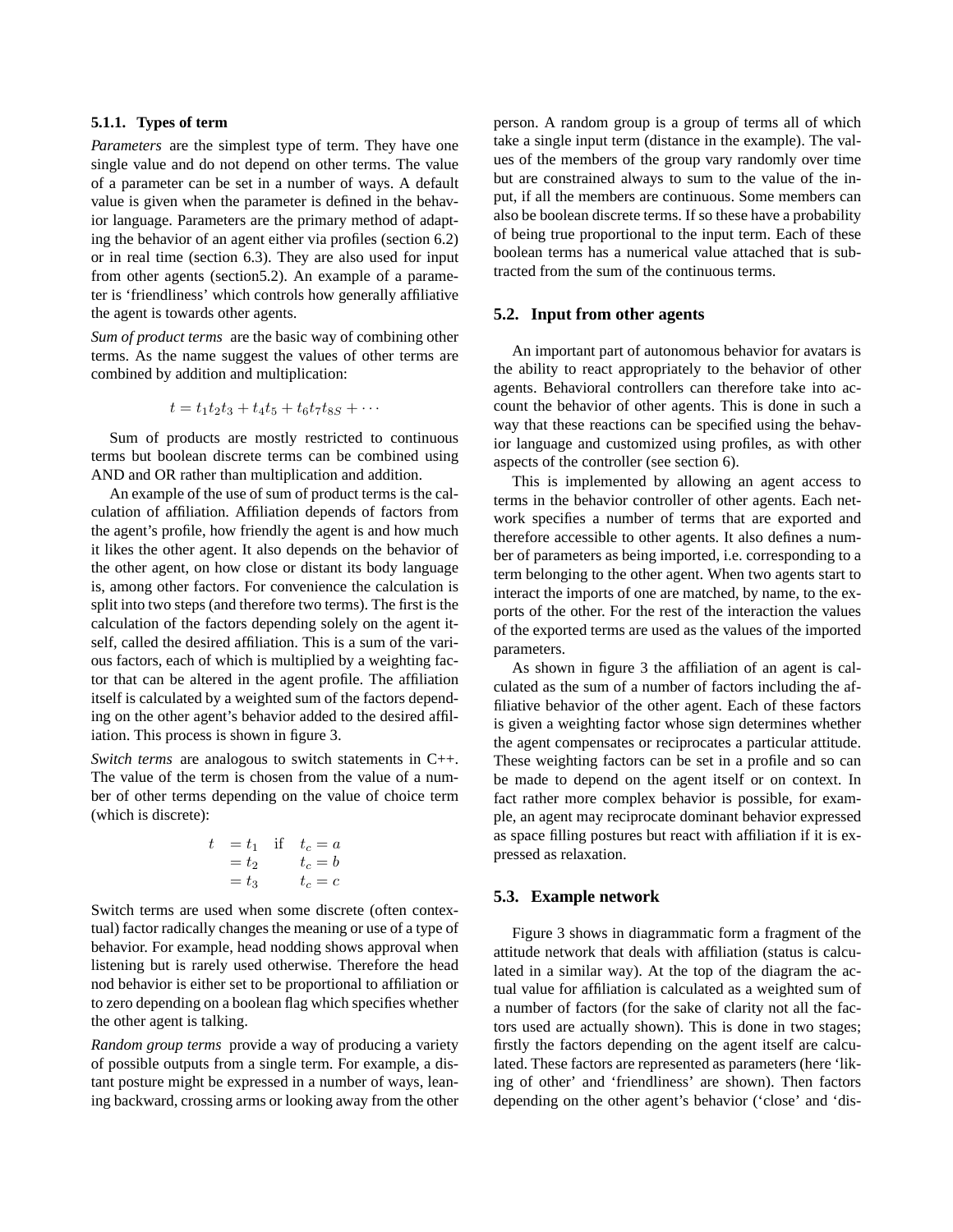### **5.1.1. Types of term**

*Parameters* are the simplest type of term. They have one single value and do not depend on other terms. The value of a parameter can be set in a number of ways. A default value is given when the parameter is defined in the behavior language. Parameters are the primary method of adapting the behavior of an agent either via profiles (section 6.2) or in real time (section 6.3). They are also used for input from other agents (section5.2). An example of a parameter is 'friendliness' which controls how generally affiliative the agent is towards other agents.

*Sum of product terms* are the basic way of combining other terms. As the name suggest the values of other terms are combined by addition and multiplication:

$$
t = t_1 t_2 t_3 + t_4 t_5 + t_6 t_7 t_{8S} + \cdots
$$

Sum of products are mostly restricted to continuous terms but boolean discrete terms can be combined using AND and OR rather than multiplication and addition.

An example of the use of sum of product terms is the calculation of affiliation. Affiliation depends of factors from the agent's profile, how friendly the agent is and how much it likes the other agent. It also depends on the behavior of the other agent, on how close or distant its body language is, among other factors. For convenience the calculation is split into two steps (and therefore two terms). The first is the calculation of the factors depending solely on the agent itself, called the desired affiliation. This is a sum of the various factors, each of which is multiplied by a weighting factor that can be altered in the agent profile. The affiliation itself is calculated by a weighted sum of the factors depending on the other agent's behavior added to the desired affiliation. This process is shown in figure 3.

*Switch terms* are analogous to switch statements in C++. The value of the term is chosen from the value of a number of other terms depending on the value of choice term (which is discrete):

$$
t = t1 if  $tc = a$   
=  $t2$   $tc = b$   
=  $t3$   $tc = c$
$$

Switch terms are used when some discrete (often contextual) factor radically changes the meaning or use of a type of behavior. For example, head nodding shows approval when listening but is rarely used otherwise. Therefore the head nod behavior is either set to be proportional to affiliation or to zero depending on a boolean flag which specifies whether the other agent is talking.

*Random group terms* provide a way of producing a variety of possible outputs from a single term. For example, a distant posture might be expressed in a number of ways, leaning backward, crossing arms or looking away from the other

person. A random group is a group of terms all of which take a single input term (distance in the example). The values of the members of the group vary randomly over time but are constrained always to sum to the value of the input, if all the members are continuous. Some members can also be boolean discrete terms. If so these have a probability of being true proportional to the input term. Each of these boolean terms has a numerical value attached that is subtracted from the sum of the continuous terms.

#### **5.2. Input from other agents**

An important part of autonomous behavior for avatars is the ability to react appropriately to the behavior of other agents. Behavioral controllers can therefore take into account the behavior of other agents. This is done in such a way that these reactions can be specified using the behavior language and customized using profiles, as with other aspects of the controller (see section 6).

This is implemented by allowing an agent access to terms in the behavior controller of other agents. Each network specifies a number of terms that are exported and therefore accessible to other agents. It also defines a number of parameters as being imported, i.e. corresponding to a term belonging to the other agent. When two agents start to interact the imports of one are matched, by name, to the exports of the other. For the rest of the interaction the values of the exported terms are used as the values of the imported parameters.

As shown in figure 3 the affiliation of an agent is calculated as the sum of a number of factors including the affiliative behavior of the other agent. Each of these factors is given a weighting factor whose sign determines whether the agent compensates or reciprocates a particular attitude. These weighting factors can be set in a profile and so can be made to depend on the agent itself or on context. In fact rather more complex behavior is possible, for example, an agent may reciprocate dominant behavior expressed as space filling postures but react with affiliation if it is expressed as relaxation.

# **5.3. Example network**

Figure 3 shows in diagrammatic form a fragment of the attitude network that deals with affiliation (status is calculated in a similar way). At the top of the diagram the actual value for affiliation is calculated as a weighted sum of a number of factors (for the sake of clarity not all the factors used are actually shown). This is done in two stages; firstly the factors depending on the agent itself are calculated. These factors are represented as parameters (here 'liking of other' and 'friendliness' are shown). Then factors depending on the other agent's behavior ('close' and 'dis-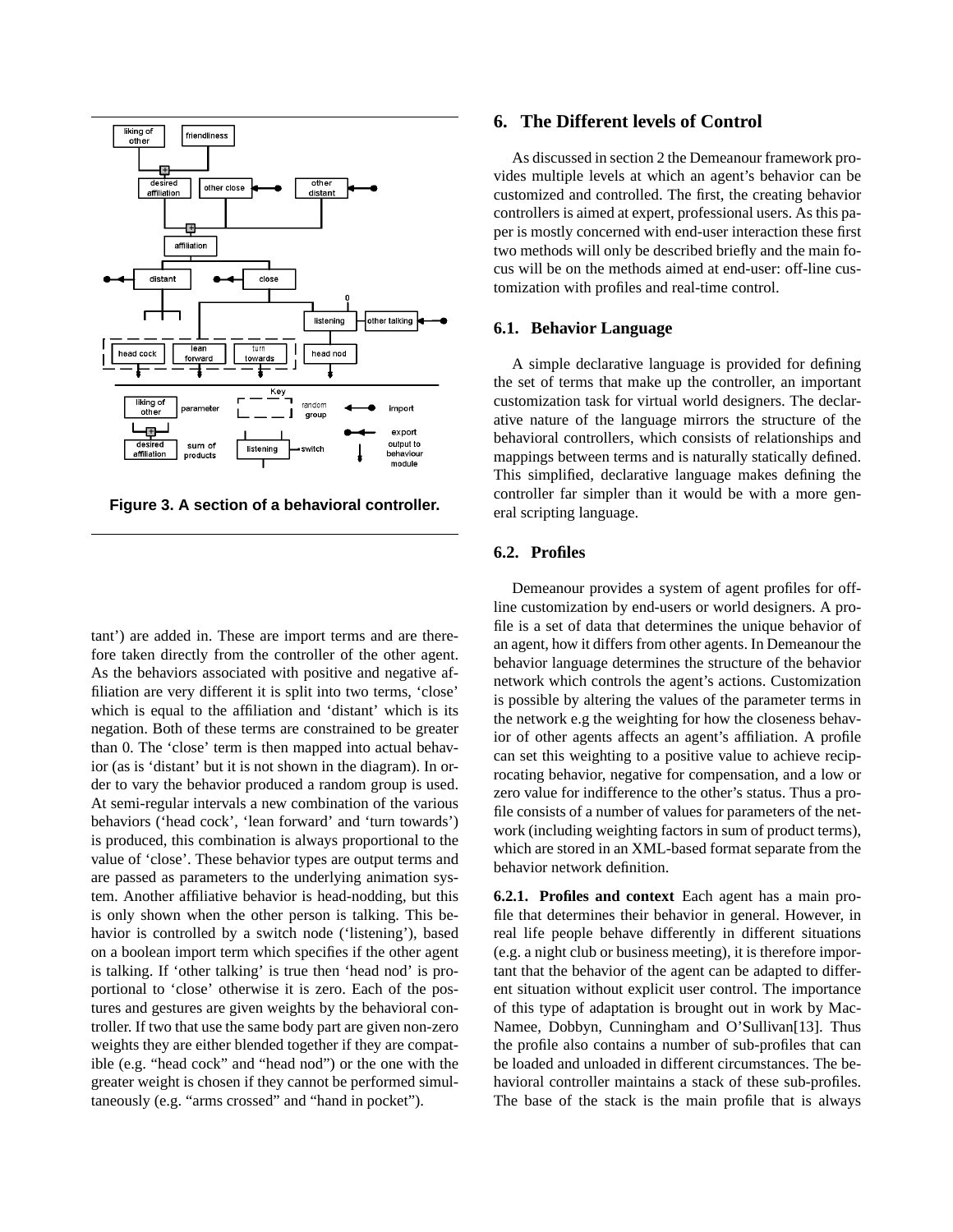

**Figure 3. A section of a behavioral controller.**

tant') are added in. These are import terms and are therefore taken directly from the controller of the other agent. As the behaviors associated with positive and negative affiliation are very different it is split into two terms, 'close' which is equal to the affiliation and 'distant' which is its negation. Both of these terms are constrained to be greater than 0. The 'close' term is then mapped into actual behavior (as is 'distant' but it is not shown in the diagram). In order to vary the behavior produced a random group is used. At semi-regular intervals a new combination of the various behaviors ('head cock', 'lean forward' and 'turn towards') is produced, this combination is always proportional to the value of 'close'. These behavior types are output terms and are passed as parameters to the underlying animation system. Another affiliative behavior is head-nodding, but this is only shown when the other person is talking. This behavior is controlled by a switch node ('listening'), based on a boolean import term which specifies if the other agent is talking. If 'other talking' is true then 'head nod' is proportional to 'close' otherwise it is zero. Each of the postures and gestures are given weights by the behavioral controller. If two that use the same body part are given non-zero weights they are either blended together if they are compatible (e.g. "head cock" and "head nod") or the one with the greater weight is chosen if they cannot be performed simultaneously (e.g. "arms crossed" and "hand in pocket").

## **6. The Different levels of Control**

As discussed in section 2 the Demeanour framework provides multiple levels at which an agent's behavior can be customized and controlled. The first, the creating behavior controllers is aimed at expert, professional users. As this paper is mostly concerned with end-user interaction these first two methods will only be described briefly and the main focus will be on the methods aimed at end-user: off-line customization with profiles and real-time control.

### **6.1. Behavior Language**

A simple declarative language is provided for defining the set of terms that make up the controller, an important customization task for virtual world designers. The declarative nature of the language mirrors the structure of the behavioral controllers, which consists of relationships and mappings between terms and is naturally statically defined. This simplified, declarative language makes defining the controller far simpler than it would be with a more general scripting language.

### **6.2. Profiles**

Demeanour provides a system of agent profiles for offline customization by end-users or world designers. A profile is a set of data that determines the unique behavior of an agent, how it differs from other agents. In Demeanour the behavior language determines the structure of the behavior network which controls the agent's actions. Customization is possible by altering the values of the parameter terms in the network e.g the weighting for how the closeness behavior of other agents affects an agent's affiliation. A profile can set this weighting to a positive value to achieve reciprocating behavior, negative for compensation, and a low or zero value for indifference to the other's status. Thus a profile consists of a number of values for parameters of the network (including weighting factors in sum of product terms), which are stored in an XML-based format separate from the behavior network definition.

**6.2.1. Profiles and context** Each agent has a main profile that determines their behavior in general. However, in real life people behave differently in different situations (e.g. a night club or business meeting), it is therefore important that the behavior of the agent can be adapted to different situation without explicit user control. The importance of this type of adaptation is brought out in work by Mac-Namee, Dobbyn, Cunningham and O'Sullivan[13]. Thus the profile also contains a number of sub-profiles that can be loaded and unloaded in different circumstances. The behavioral controller maintains a stack of these sub-profiles. The base of the stack is the main profile that is always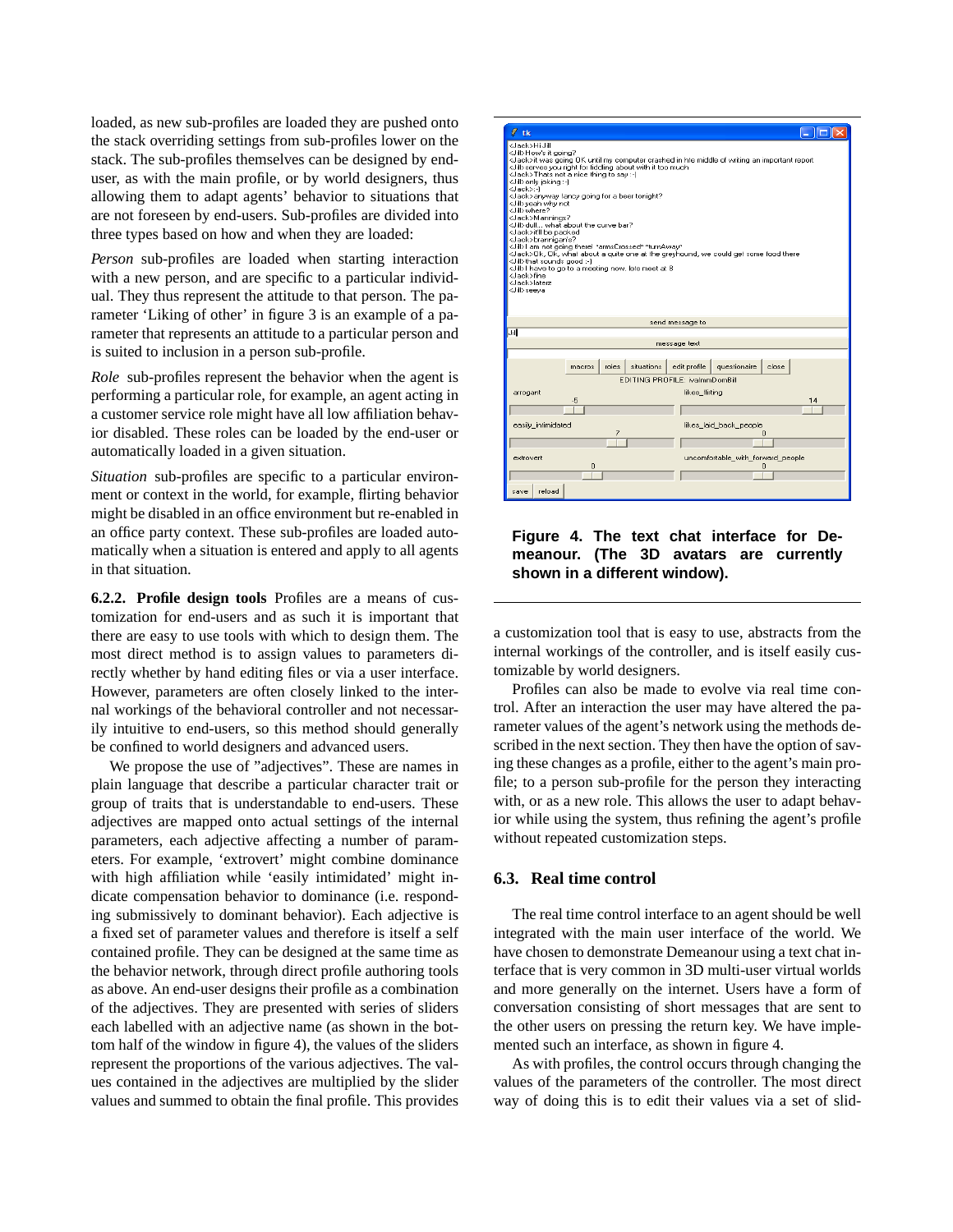loaded, as new sub-profiles are loaded they are pushed onto the stack overriding settings from sub-profiles lower on the stack. The sub-profiles themselves can be designed by enduser, as with the main profile, or by world designers, thus allowing them to adapt agents' behavior to situations that are not foreseen by end-users. Sub-profiles are divided into three types based on how and when they are loaded:

*Person* sub-profiles are loaded when starting interaction with a new person, and are specific to a particular individual. They thus represent the attitude to that person. The parameter 'Liking of other' in figure 3 is an example of a parameter that represents an attitude to a particular person and is suited to inclusion in a person sub-profile.

*Role* sub-profiles represent the behavior when the agent is performing a particular role, for example, an agent acting in a customer service role might have all low affiliation behavior disabled. These roles can be loaded by the end-user or automatically loaded in a given situation.

*Situation* sub-profiles are specific to a particular environment or context in the world, for example, flirting behavior might be disabled in an office environment but re-enabled in an office party context. These sub-profiles are loaded automatically when a situation is entered and apply to all agents in that situation.

**6.2.2. Profile design tools** Profiles are a means of customization for end-users and as such it is important that there are easy to use tools with which to design them. The most direct method is to assign values to parameters directly whether by hand editing files or via a user interface. However, parameters are often closely linked to the internal workings of the behavioral controller and not necessarily intuitive to end-users, so this method should generally be confined to world designers and advanced users.

We propose the use of "adjectives". These are names in plain language that describe a particular character trait or group of traits that is understandable to end-users. These adjectives are mapped onto actual settings of the internal parameters, each adjective affecting a number of parameters. For example, 'extrovert' might combine dominance with high affiliation while 'easily intimidated' might indicate compensation behavior to dominance (i.e. responding submissively to dominant behavior). Each adjective is a fixed set of parameter values and therefore is itself a self contained profile. They can be designed at the same time as the behavior network, through direct profile authoring tools as above. An end-user designs their profile as a combination of the adjectives. They are presented with series of sliders each labelled with an adjective name (as shown in the bottom half of the window in figure 4), the values of the sliders represent the proportions of the various adjectives. The values contained in the adjectives are multiplied by the slider values and summed to obtain the final profile. This provides



**Figure 4. The text chat interface for Demeanour. (The 3D avatars are currently shown in a different window).**

a customization tool that is easy to use, abstracts from the internal workings of the controller, and is itself easily customizable by world designers.

Profiles can also be made to evolve via real time control. After an interaction the user may have altered the parameter values of the agent's network using the methods described in the next section. They then have the option of saving these changes as a profile, either to the agent's main profile; to a person sub-profile for the person they interacting with, or as a new role. This allows the user to adapt behavior while using the system, thus refining the agent's profile without repeated customization steps.

### **6.3. Real time control**

The real time control interface to an agent should be well integrated with the main user interface of the world. We have chosen to demonstrate Demeanour using a text chat interface that is very common in 3D multi-user virtual worlds and more generally on the internet. Users have a form of conversation consisting of short messages that are sent to the other users on pressing the return key. We have implemented such an interface, as shown in figure 4.

As with profiles, the control occurs through changing the values of the parameters of the controller. The most direct way of doing this is to edit their values via a set of slid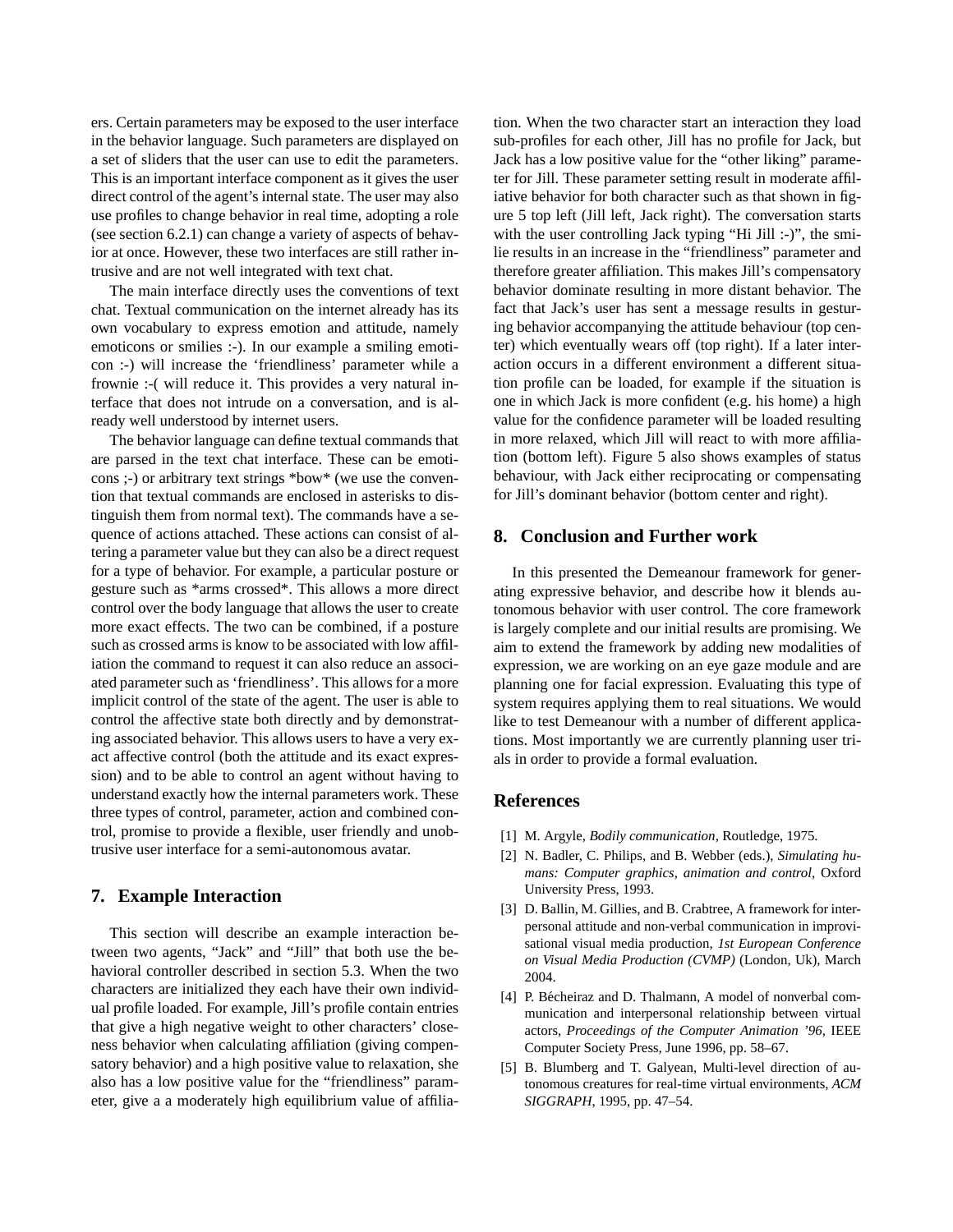ers. Certain parameters may be exposed to the user interface in the behavior language. Such parameters are displayed on a set of sliders that the user can use to edit the parameters. This is an important interface component as it gives the user direct control of the agent's internal state. The user may also use profiles to change behavior in real time, adopting a role (see section 6.2.1) can change a variety of aspects of behavior at once. However, these two interfaces are still rather intrusive and are not well integrated with text chat.

The main interface directly uses the conventions of text chat. Textual communication on the internet already has its own vocabulary to express emotion and attitude, namely emoticons or smilies :-). In our example a smiling emoticon :-) will increase the 'friendliness' parameter while a frownie :-( will reduce it. This provides a very natural interface that does not intrude on a conversation, and is already well understood by internet users.

The behavior language can define textual commands that are parsed in the text chat interface. These can be emoticons ;-) or arbitrary text strings \*bow\* (we use the convention that textual commands are enclosed in asterisks to distinguish them from normal text). The commands have a sequence of actions attached. These actions can consist of altering a parameter value but they can also be a direct request for a type of behavior. For example, a particular posture or gesture such as \*arms crossed\*. This allows a more direct control over the body language that allows the user to create more exact effects. The two can be combined, if a posture such as crossed arms is know to be associated with low affiliation the command to request it can also reduce an associated parameter such as 'friendliness'. This allows for a more implicit control of the state of the agent. The user is able to control the affective state both directly and by demonstrating associated behavior. This allows users to have a very exact affective control (both the attitude and its exact expression) and to be able to control an agent without having to understand exactly how the internal parameters work. These three types of control, parameter, action and combined control, promise to provide a flexible, user friendly and unobtrusive user interface for a semi-autonomous avatar.

# **7. Example Interaction**

This section will describe an example interaction between two agents, "Jack" and "Jill" that both use the behavioral controller described in section 5.3. When the two characters are initialized they each have their own individual profile loaded. For example, Jill's profile contain entries that give a high negative weight to other characters' closeness behavior when calculating affiliation (giving compensatory behavior) and a high positive value to relaxation, she also has a low positive value for the "friendliness" parameter, give a a moderately high equilibrium value of affilia-

tion. When the two character start an interaction they load sub-profiles for each other, Jill has no profile for Jack, but Jack has a low positive value for the "other liking" parameter for Jill. These parameter setting result in moderate affiliative behavior for both character such as that shown in figure 5 top left (Jill left, Jack right). The conversation starts with the user controlling Jack typing "Hi Jill :-)", the smilie results in an increase in the "friendliness" parameter and therefore greater affiliation. This makes Jill's compensatory behavior dominate resulting in more distant behavior. The fact that Jack's user has sent a message results in gesturing behavior accompanying the attitude behaviour (top center) which eventually wears off (top right). If a later interaction occurs in a different environment a different situation profile can be loaded, for example if the situation is one in which Jack is more confident (e.g. his home) a high value for the confidence parameter will be loaded resulting in more relaxed, which Jill will react to with more affiliation (bottom left). Figure 5 also shows examples of status behaviour, with Jack either reciprocating or compensating for Jill's dominant behavior (bottom center and right).

### **8. Conclusion and Further work**

In this presented the Demeanour framework for generating expressive behavior, and describe how it blends autonomous behavior with user control. The core framework is largely complete and our initial results are promising. We aim to extend the framework by adding new modalities of expression, we are working on an eye gaze module and are planning one for facial expression. Evaluating this type of system requires applying them to real situations. We would like to test Demeanour with a number of different applications. Most importantly we are currently planning user trials in order to provide a formal evaluation.

### **References**

- [1] M. Argyle, *Bodily communication*, Routledge, 1975.
- [2] N. Badler, C. Philips, and B. Webber (eds.), *Simulating humans: Computer graphics, animation and control*, Oxford University Press, 1993.
- [3] D. Ballin, M. Gillies, and B. Crabtree, A framework for interpersonal attitude and non-verbal communication in improvisational visual media production, *1st European Conference on Visual Media Production (CVMP)* (London, Uk), March 2004.
- [4] P. Bécheiraz and D. Thalmann, A model of nonverbal communication and interpersonal relationship between virtual actors, *Proceedings of the Computer Animation '96*, IEEE Computer Society Press, June 1996, pp. 58–67.
- [5] B. Blumberg and T. Galyean, Multi-level direction of autonomous creatures for real-time virtual environments, *ACM SIGGRAPH*, 1995, pp. 47–54.